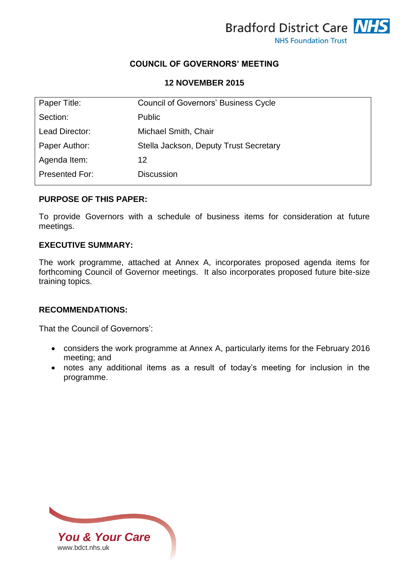

## **COUNCIL OF GOVERNORS' MEETING**

### **12 NOVEMBER 2015**

| Paper Title:   | <b>Council of Governors' Business Cycle</b> |
|----------------|---------------------------------------------|
| Section:       | <b>Public</b>                               |
| Lead Director: | Michael Smith, Chair                        |
| Paper Author:  | Stella Jackson, Deputy Trust Secretary      |
| Agenda Item:   | 12                                          |
| Presented For: | <b>Discussion</b>                           |

## **PURPOSE OF THIS PAPER:**

To provide Governors with a schedule of business items for consideration at future meetings.

### **EXECUTIVE SUMMARY:**

The work programme, attached at Annex A, incorporates proposed agenda items for forthcoming Council of Governor meetings. It also incorporates proposed future bite-size training topics.

## **RECOMMENDATIONS:**

That the Council of Governors':

- considers the work programme at Annex A, particularly items for the February 2016 meeting; and
- notes any additional items as a result of today's meeting for inclusion in the programme.

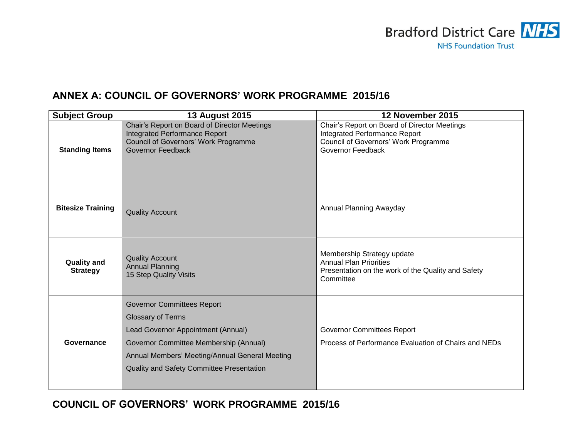

# **ANNEX A: COUNCIL OF GOVERNORS' WORK PROGRAMME 2015/16**

| <b>Subject Group</b>                  | <b>13 August 2015</b>                                                                                                                                                                                                                        | 12 November 2015                                                                                                                           |
|---------------------------------------|----------------------------------------------------------------------------------------------------------------------------------------------------------------------------------------------------------------------------------------------|--------------------------------------------------------------------------------------------------------------------------------------------|
| <b>Standing Items</b>                 | Chair's Report on Board of Director Meetings<br><b>Integrated Performance Report</b><br>Council of Governors' Work Programme<br><b>Governor Feedback</b>                                                                                     | Chair's Report on Board of Director Meetings<br>Integrated Performance Report<br>Council of Governors' Work Programme<br>Governor Feedback |
| <b>Bitesize Training</b>              | <b>Quality Account</b>                                                                                                                                                                                                                       | Annual Planning Awayday                                                                                                                    |
| <b>Quality and</b><br><b>Strategy</b> | <b>Quality Account</b><br><b>Annual Planning</b><br>15 Step Quality Visits                                                                                                                                                                   | Membership Strategy update<br><b>Annual Plan Priorities</b><br>Presentation on the work of the Quality and Safety<br>Committee             |
| Governance                            | <b>Governor Committees Report</b><br><b>Glossary of Terms</b><br>Lead Governor Appointment (Annual)<br>Governor Committee Membership (Annual)<br>Annual Members' Meeting/Annual General Meeting<br>Quality and Safety Committee Presentation | <b>Governor Committees Report</b><br>Process of Performance Evaluation of Chairs and NEDs                                                  |

**COUNCIL OF GOVERNORS' WORK PROGRAMME 2015/16**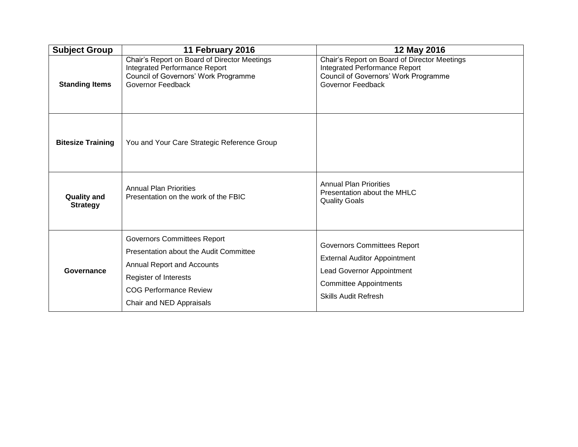| <b>Subject Group</b>                  | 11 February 2016                                                                                                                                                                                 | 12 May 2016                                                                                                                                                                   |
|---------------------------------------|--------------------------------------------------------------------------------------------------------------------------------------------------------------------------------------------------|-------------------------------------------------------------------------------------------------------------------------------------------------------------------------------|
| <b>Standing Items</b>                 | Chair's Report on Board of Director Meetings<br>Integrated Performance Report<br>Council of Governors' Work Programme<br>Governor Feedback                                                       | Chair's Report on Board of Director Meetings<br><b>Integrated Performance Report</b><br>Council of Governors' Work Programme<br>Governor Feedback                             |
| <b>Bitesize Training</b>              | You and Your Care Strategic Reference Group                                                                                                                                                      |                                                                                                                                                                               |
| <b>Quality and</b><br><b>Strategy</b> | <b>Annual Plan Priorities</b><br>Presentation on the work of the FBIC                                                                                                                            | <b>Annual Plan Priorities</b><br>Presentation about the MHLC<br><b>Quality Goals</b>                                                                                          |
| Governance                            | <b>Governors Committees Report</b><br>Presentation about the Audit Committee<br>Annual Report and Accounts<br>Register of Interests<br><b>COG Performance Review</b><br>Chair and NED Appraisals | <b>Governors Committees Report</b><br><b>External Auditor Appointment</b><br><b>Lead Governor Appointment</b><br><b>Committee Appointments</b><br><b>Skills Audit Refresh</b> |